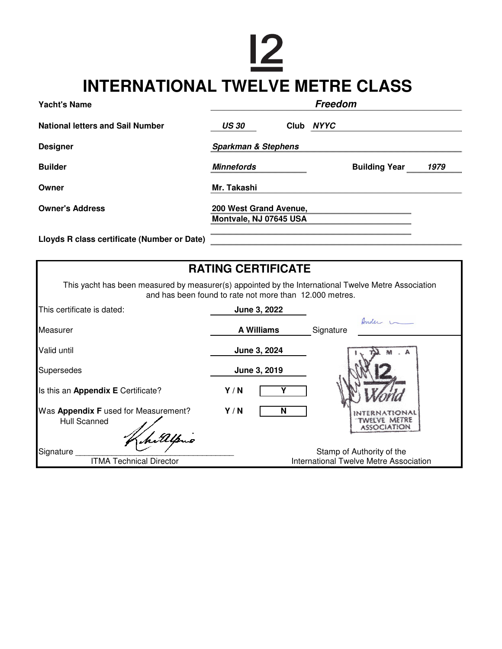## $\overline{2}$ **INTERNATIONAL TWELVE METRE CLASS**

| <b>Yacht's Name</b>                         | Freedom                                          |  |           |                      |      |
|---------------------------------------------|--------------------------------------------------|--|-----------|----------------------|------|
| <b>National letters and Sail Number</b>     | <b>US 30</b>                                     |  | Club NYYC |                      |      |
| <b>Designer</b>                             | <b>Sparkman &amp; Stephens</b>                   |  |           |                      |      |
| <b>Builder</b>                              | <b>Minnefords</b>                                |  |           | <b>Building Year</b> | 1979 |
| Owner                                       | Mr. Takashi                                      |  |           |                      |      |
| <b>Owner's Address</b>                      | 200 West Grand Avenue,<br>Montvale, NJ 07645 USA |  |           |                      |      |
| Lloyds R class certificate (Number or Date) |                                                  |  |           |                      |      |

| <b>RATING CERTIFICATE</b>                                                                                                                                      |                   |                                        |  |  |  |
|----------------------------------------------------------------------------------------------------------------------------------------------------------------|-------------------|----------------------------------------|--|--|--|
| This yacht has been measured by measurer(s) appointed by the International Twelve Metre Association<br>and has been found to rate not more than 12.000 metres. |                   |                                        |  |  |  |
| This certificate is dated:                                                                                                                                     | June 3, 2022      |                                        |  |  |  |
| Measurer                                                                                                                                                       | <b>A Williams</b> | Ander L<br>Signature                   |  |  |  |
| Valid until                                                                                                                                                    | June 3, 2024      |                                        |  |  |  |
| Supersedes                                                                                                                                                     | June 3, 2019      |                                        |  |  |  |
| Is this an Appendix E Certificate?                                                                                                                             | Y/N               |                                        |  |  |  |
| Was Appendix F used for Measurement?<br>Hull Scanned<br>hitelpno                                                                                               | Y/N<br>N          | TWELVE METRE<br><b>ASSOCIATION</b>     |  |  |  |
| Signature                                                                                                                                                      |                   | Stamp of Authority of the              |  |  |  |
| <b>ITMA Technical Director</b>                                                                                                                                 |                   | International Twelve Metre Association |  |  |  |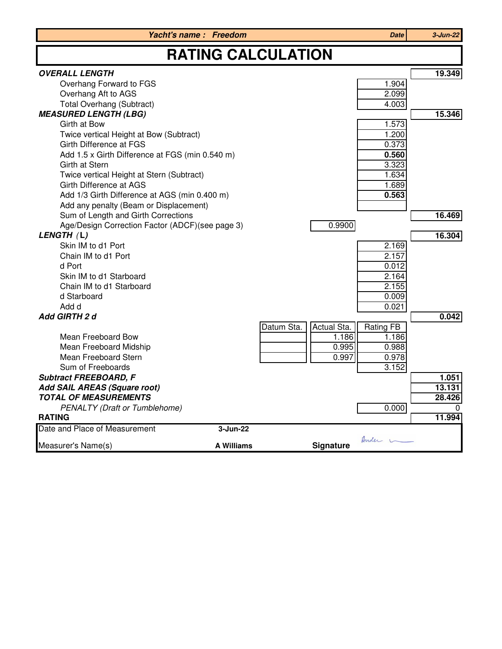|                                                 | Yacht's name: Freedom |                           | Date             | $3 - Jun-22$ |  |  |
|-------------------------------------------------|-----------------------|---------------------------|------------------|--------------|--|--|
| <b>RATING CALCULATION</b>                       |                       |                           |                  |              |  |  |
| <b>OVERALL LENGTH</b>                           |                       |                           |                  | 19.349       |  |  |
| Overhang Forward to FGS                         |                       |                           | 1.904            |              |  |  |
| Overhang Aft to AGS                             |                       |                           | 2.099            |              |  |  |
| <b>Total Overhang (Subtract)</b>                |                       |                           | 4.003            |              |  |  |
| <b>MEASURED LENGTH (LBG)</b>                    |                       |                           |                  | 15.346       |  |  |
| Girth at Bow                                    |                       |                           | 1.573            |              |  |  |
| Twice vertical Height at Bow (Subtract)         |                       |                           | 1.200            |              |  |  |
| Girth Difference at FGS                         |                       |                           | 0.373            |              |  |  |
| Add 1.5 x Girth Difference at FGS (min 0.540 m) |                       |                           | 0.560            |              |  |  |
| Girth at Stern                                  |                       |                           | 3.323            |              |  |  |
| Twice vertical Height at Stern (Subtract)       |                       |                           | 1.634            |              |  |  |
| Girth Difference at AGS                         |                       |                           | 1.689            |              |  |  |
| Add 1/3 Girth Difference at AGS (min 0.400 m)   |                       |                           | 0.563            |              |  |  |
| Add any penalty (Beam or Displacement)          |                       |                           |                  |              |  |  |
| Sum of Length and Girth Corrections             |                       |                           |                  | 16.469       |  |  |
| Age/Design Correction Factor (ADCF)(see page 3) |                       | 0.9900                    |                  |              |  |  |
| LENGTH (L)<br>Skin IM to d1 Port                |                       |                           |                  | 16.304       |  |  |
| Chain IM to d1 Port                             |                       |                           | 2.169<br>2.157   |              |  |  |
| d Port                                          |                       |                           | 0.012            |              |  |  |
| Skin IM to d1 Starboard                         |                       |                           | 2.164            |              |  |  |
| Chain IM to d1 Starboard                        |                       |                           | 2.155            |              |  |  |
| d Starboard                                     |                       |                           | 0.009            |              |  |  |
| Add d                                           |                       |                           | 0.021            |              |  |  |
| Add GIRTH 2 d                                   |                       |                           |                  | 0.042        |  |  |
|                                                 |                       | Datum Sta.<br>Actual Sta. | <b>Rating FB</b> |              |  |  |
| Mean Freeboard Bow                              |                       | 1.186                     | 1.186            |              |  |  |
| Mean Freeboard Midship                          |                       | 0.995                     | 0.988            |              |  |  |
| Mean Freeboard Stern                            |                       | 0.997                     | 0.978            |              |  |  |
| Sum of Freeboards                               |                       |                           | 3.152            |              |  |  |
| <b>Subtract FREEBOARD, F</b>                    |                       |                           |                  | 1.051        |  |  |
| Add SAIL AREAS (Square root)                    |                       |                           |                  | 13.131       |  |  |
| <b>TOTAL OF MEASUREMENTS</b>                    |                       |                           |                  | 28.426       |  |  |
| <b>PENALTY (Draft or Tumblehome)</b>            |                       |                           | 0.000            |              |  |  |
| <b>RATING</b>                                   |                       |                           |                  | 11.994       |  |  |
| Date and Place of Measurement                   | 3-Jun-22              |                           |                  |              |  |  |
| Measurer's Name(s)                              | <b>A Williams</b>     | <b>Signature</b>          | Ander L          |              |  |  |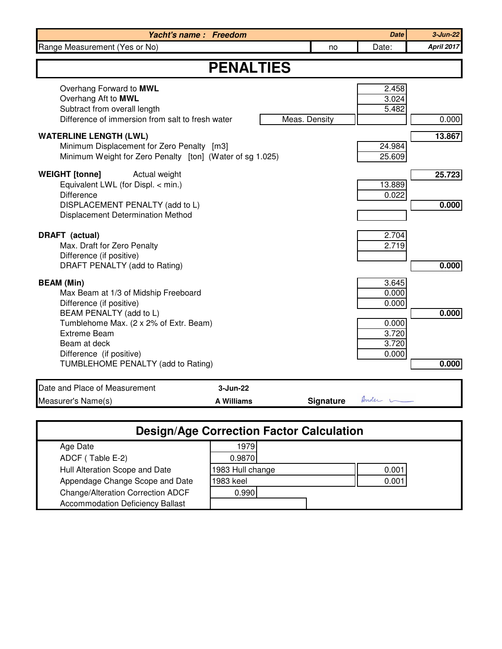| Yacht's name: Freedom                                                                                                                                                                                                                                               |                               |               |                  | <b>Date</b>                                                 | $3 - Jun - 22$    |
|---------------------------------------------------------------------------------------------------------------------------------------------------------------------------------------------------------------------------------------------------------------------|-------------------------------|---------------|------------------|-------------------------------------------------------------|-------------------|
| Range Measurement (Yes or No)                                                                                                                                                                                                                                       |                               |               | no               | Date:                                                       | <b>April 2017</b> |
| <b>PENALTIES</b>                                                                                                                                                                                                                                                    |                               |               |                  |                                                             |                   |
| Overhang Forward to MWL<br>Overhang Aft to MWL<br>Subtract from overall length<br>Difference of immersion from salt to fresh water                                                                                                                                  |                               | Meas. Density |                  | 2.458<br>3.024<br>5.482                                     | 0.000             |
| <b>WATERLINE LENGTH (LWL)</b><br>Minimum Displacement for Zero Penalty [m3]<br>Minimum Weight for Zero Penalty [ton] (Water of sg 1.025)                                                                                                                            |                               |               |                  | 24.984<br>25.609                                            | 13.867            |
| <b>WEIGHT</b> [tonne]<br>Actual weight<br>Equivalent LWL (for Displ. < min.)<br><b>Difference</b><br>DISPLACEMENT PENALTY (add to L)<br>Displacement Determination Method                                                                                           |                               |               |                  | 13.889<br>0.022                                             | 25.723<br>0.000   |
| DRAFT (actual)<br>Max. Draft for Zero Penalty<br>Difference (if positive)<br>DRAFT PENALTY (add to Rating)                                                                                                                                                          |                               |               |                  | 2.704<br>2.719                                              | 0.000             |
| <b>BEAM</b> (Min)<br>Max Beam at 1/3 of Midship Freeboard<br>Difference (if positive)<br>BEAM PENALTY (add to L)<br>Tumblehome Max. (2 x 2% of Extr. Beam)<br><b>Extreme Beam</b><br>Beam at deck<br>Difference (if positive)<br>TUMBLEHOME PENALTY (add to Rating) |                               |               |                  | 3.645<br>0.000<br>0.000<br>0.000<br>3.720<br>3.720<br>0.000 | 0.000<br>0.000    |
|                                                                                                                                                                                                                                                                     |                               |               |                  |                                                             |                   |
| Date and Place of Measurement<br>Measurer's Name(s)                                                                                                                                                                                                                 | 3-Jun-22<br><b>A Williams</b> |               | <b>Signature</b> | Ander L                                                     |                   |
| <b>Design/Age Correction Factor Calculation</b>                                                                                                                                                                                                                     |                               |               |                  |                                                             |                   |
| 1070<br>$A$ an Dota                                                                                                                                                                                                                                                 |                               |               |                  |                                                             |                   |

| Age Date                                | 1979             |       |
|-----------------------------------------|------------------|-------|
| ADCF (Table E-2)                        | 0.9870           |       |
| Hull Alteration Scope and Date          | 1983 Hull change | 0.001 |
| Appendage Change Scope and Date         | 1983 keel        | 0.001 |
| Change/Alteration Correction ADCF       | 0.990            |       |
| <b>Accommodation Deficiency Ballast</b> |                  |       |